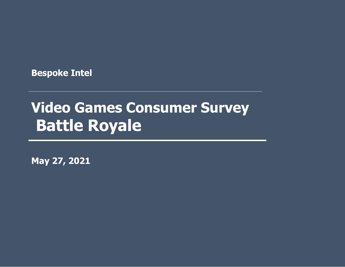**Bespoke Intel**

# **Awareness and Market Share I Video Games Consumer Survey Battle Royale**

**May 27, 2021**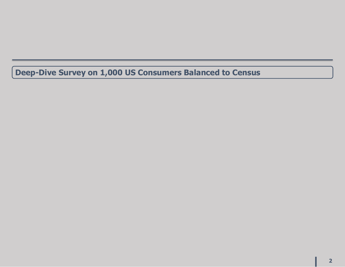**Deep-Dive Survey on 1,000 US Consumers Balanced to Census**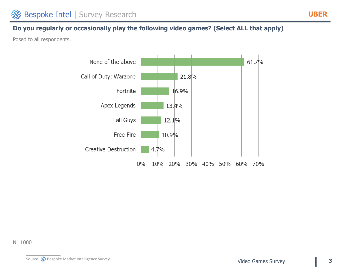## **Do you regularly or occasionally play the following video games? (Select ALL that apply)**

Posed to all respondents.



N=1000

Source: Source: Survey Source: Survey Source: Survey Survey Survey Survey Survey Survey Survey Survey Survey Survey

**UBER**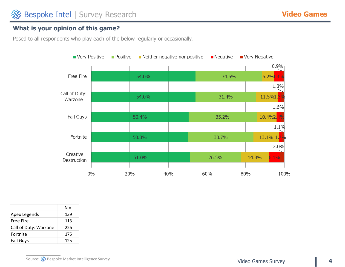#### **What is your opinion of this game?**



|                       | N = |
|-----------------------|-----|
| Apex Legends          | 139 |
| Free Fire             | 113 |
| Call of Duty: Warzone | 226 |
| Fortnite              | 175 |
| <b>Fall Guys</b>      | 125 |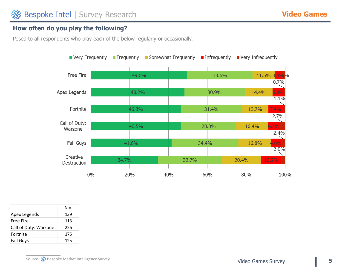## **How often do you play the following?**



|                       | N = |
|-----------------------|-----|
| Apex Legends          | 139 |
| Free Fire             | 113 |
| Call of Duty: Warzone | 226 |
| Fortnite              | 175 |
| <b>Fall Guys</b>      | 125 |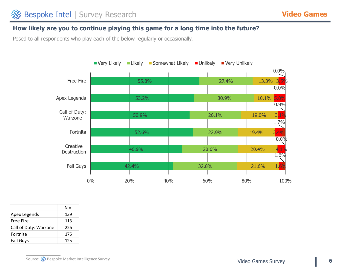#### **How likely are you to continue playing this game for a long time into the future?**



|                       | N = |
|-----------------------|-----|
| Apex Legends          | 139 |
| Free Fire             | 113 |
| Call of Duty: Warzone | 226 |
| Fortnite              | 175 |
| <b>Fall Guys</b>      | 125 |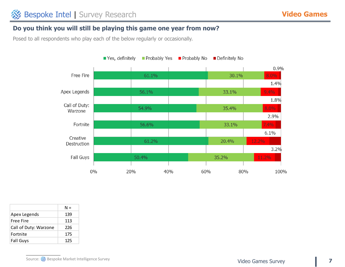#### **Do you think you will still be playing this game one year from now?**



|                       | N = |
|-----------------------|-----|
| Apex Legends          | 139 |
| Free Fire             | 113 |
| Call of Duty: Warzone | 226 |
| Fortnite              | 175 |
| <b>Fall Guys</b>      | 125 |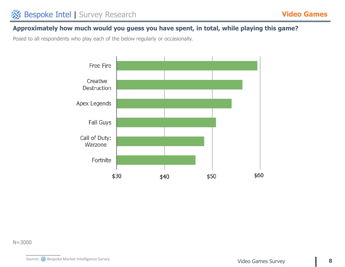#### **Approximately how much would you guess you have spent, in total, while playing this game?**

Posed to all respondents who play each of the below regularly or occasionally.



N=3000

Source: Source: Source: Survey Source: Survey Source: Survey Video Games Survey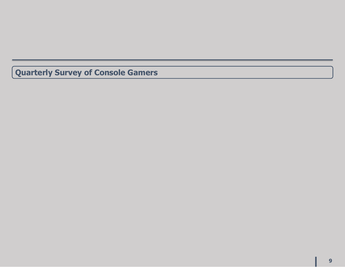**Quarterly Survey of Console Gamers**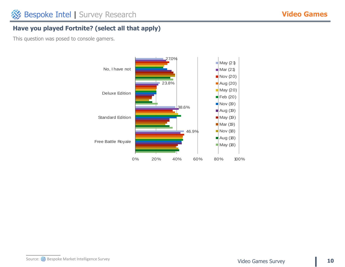## **Have you played Fortnite? (select all that apply)**

This question was posed to console gamers.

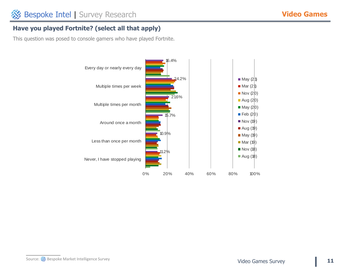## **Have you played Fortnite? (select all that apply)**

This question was posed to console gamers who have played Fortnite.

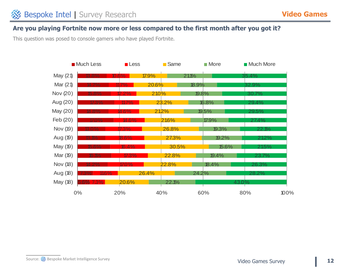#### **Are you playing Fortnite now more or less compared to the first month after you got it?**

This question was posed to console gamers who have played Fortnite.

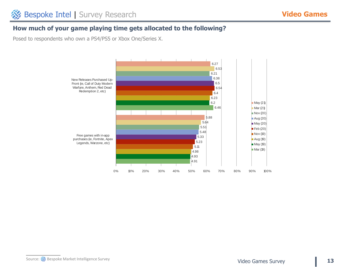## **How much of your game playing time gets allocated to the following?**

Posed to respondents who own a PS4/PS5 or Xbox One/Series X.

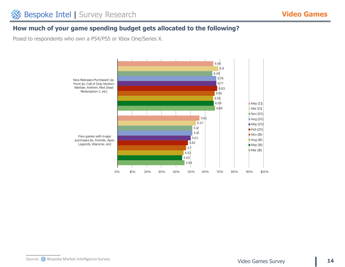### **How much of your game spending budget gets allocated to the following?**

Posed to respondents who own a PS4/PS5 or Xbox One/Series X.

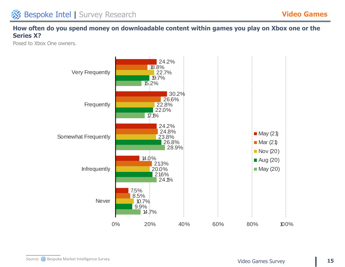## **How often do you spend money on downloadable content within games you play on Xbox one or the Series X?**

Posed to Xbox One owners.

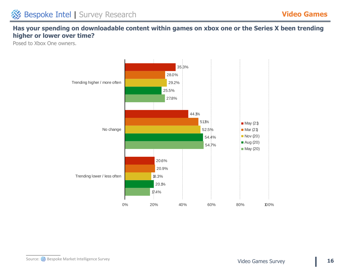## **Has your spending on downloadable content within games on xbox one or the Series X been trending higher or lower over time?**

Posed to Xbox One owners.

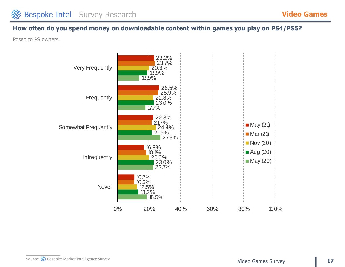## **How often do you spend money on downloadable content within games you play on PS4/PS5?**

Posed to PS owners.

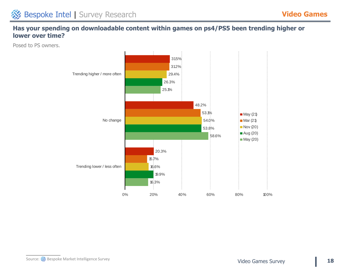## **Has your spending on downloadable content within games on ps4/PS5 been trending higher or lower over time?**

Posed to PS owners.

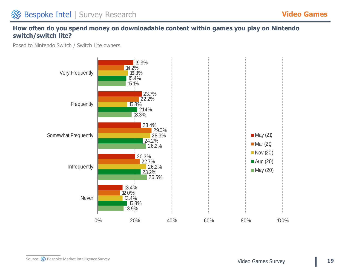## **How often do you spend money on downloadable content within games you play on Nintendo switch/switch lite?**

Posed to Nintendo Switch / Switch Lite owners.